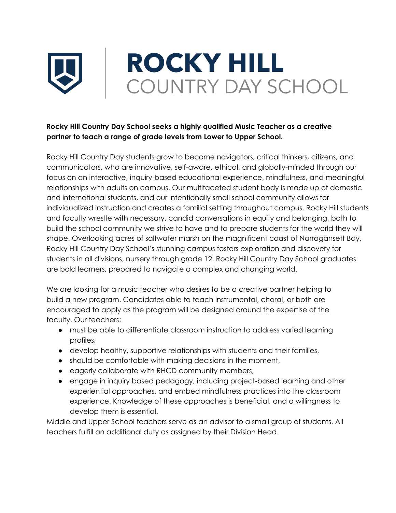

## **Rocky Hill Country Day School seeks a highly qualified Music Teacher as a creative partner to teach a range of grade levels from Lower to Upper School.**

Rocky Hill Country Day students grow to become navigators, critical thinkers, citizens, and communicators, who are innovative, self-aware, ethical, and globally-minded through our focus on an interactive, inquiry-based educational experience, mindfulness, and meaningful relationships with adults on campus. Our multifaceted student body is made up of domestic and international students, and our intentionally small school community allows for individualized instruction and creates a familial setting throughout campus. Rocky Hill students and faculty wrestle with necessary, candid conversations in equity and belonging, both to build the school community we strive to have and to prepare students for the world they will shape. Overlooking acres of saltwater marsh on the magnificent coast of Narragansett Bay, Rocky Hill Country Day School's stunning campus fosters exploration and discovery for students in all divisions, nursery through grade 12. Rocky Hill Country Day School graduates are bold learners, prepared to navigate a complex and changing world.

We are looking for a music teacher who desires to be a creative partner helping to build a new program. Candidates able to teach instrumental, choral, or both are encouraged to apply as the program will be designed around the expertise of the faculty. Our teachers:

- must be able to differentiate classroom instruction to address varied learning profiles,
- develop healthy, supportive relationships with students and their families,
- should be comfortable with making decisions in the moment,
- eagerly collaborate with RHCD community members,
- engage in inquiry based pedagogy, including project-based learning and other experiential approaches, and embed mindfulness practices into the classroom experience. Knowledge of these approaches is beneficial, and a willingness to develop them is essential.

Middle and Upper School teachers serve as an advisor to a small group of students. All teachers fulfill an additional duty as assigned by their Division Head.